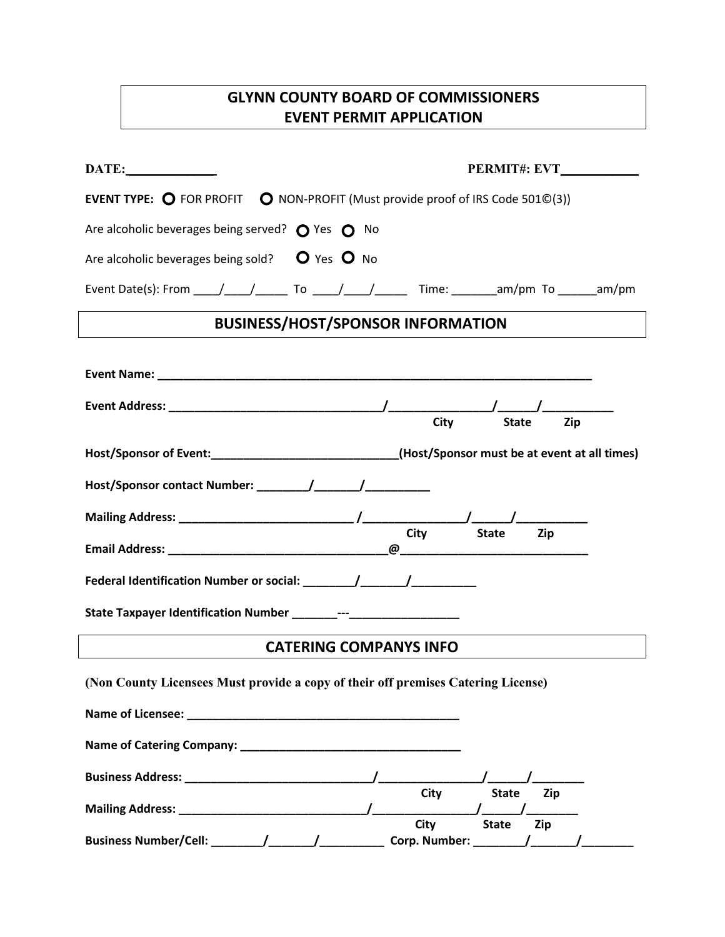# **GLYNN COUNTY BOARD OF COMMISSIONERS EVENT PERMIT APPLICATION**

| DATE:<br><b>PERMIT#: EVT</b>                                                                                                                                                                                                   |
|--------------------------------------------------------------------------------------------------------------------------------------------------------------------------------------------------------------------------------|
| <b>EVENT TYPE:</b> $\bigcirc$ FOR PROFIT $\bigcirc$ NON-PROFIT (Must provide proof of IRS Code 501©(3))                                                                                                                        |
| Are alcoholic beverages being served? $\bigcirc$ Yes $\bigcirc$ No                                                                                                                                                             |
| Are alcoholic beverages being sold? $\bullet$ Yes $\bullet$ No                                                                                                                                                                 |
| Event Date(s): From _____/_____/ ______ To _____/_____/ ______ Time: ________am/pm To ______am/pm                                                                                                                              |
| <b>BUSINESS/HOST/SPONSOR INFORMATION</b>                                                                                                                                                                                       |
|                                                                                                                                                                                                                                |
| <b>City</b><br><b>State</b><br>Zip                                                                                                                                                                                             |
| Host/Sponsor of Event:______________________________(Host/Sponsor must be at event at all times)                                                                                                                               |
|                                                                                                                                                                                                                                |
| <b>State</b>                                                                                                                                                                                                                   |
| City<br>Zip                                                                                                                                                                                                                    |
|                                                                                                                                                                                                                                |
|                                                                                                                                                                                                                                |
| <b>CATERING COMPANYS INFO</b>                                                                                                                                                                                                  |
| (Non County Licensees Must provide a copy of their off premises Catering License)                                                                                                                                              |
| Name of Licensee: The contract of the contract of the contract of the contract of the contract of the contract of the contract of the contract of the contract of the contract of the contract of the contract of the contract |
| Name of Catering Company: Name of Catering Company:                                                                                                                                                                            |
|                                                                                                                                                                                                                                |
| City<br><b>State</b><br>Zip                                                                                                                                                                                                    |
| City<br><b>State</b><br>Zip<br>Corp. Number: _______                                                                                                                                                                           |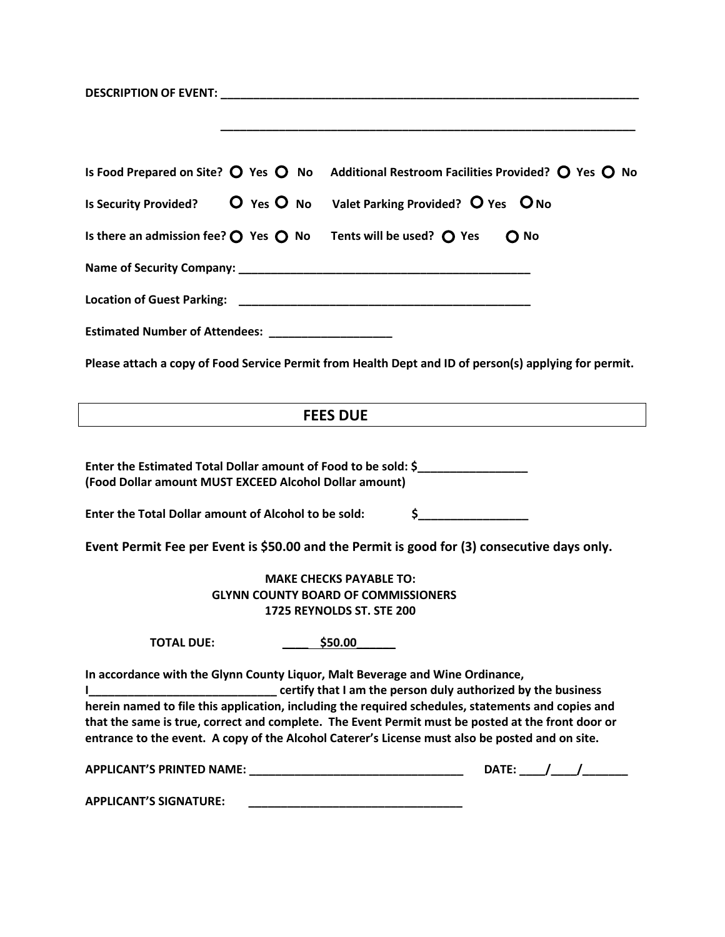| Is Food Prepared on Site? $\bigcirc$ Yes $\bigcirc$ No<br>Additional Restroom Facilities Provided? $\bigcirc$ Yes $\bigcirc$ No               |
|-----------------------------------------------------------------------------------------------------------------------------------------------|
| Is Security Provided? $O$ Yes $O$ No Valet Parking Provided? $O$ Yes $O$ No                                                                   |
| Is there an admission fee? $\bigcirc$ Yes $\bigcirc$ No Tents will be used? $\bigcirc$ Yes<br>$O$ No                                          |
|                                                                                                                                               |
|                                                                                                                                               |
| Estimated Number of Attendees: _____________________                                                                                          |
| Please attach a copy of Food Service Permit from Health Dept and ID of person(s) applying for permit.                                         |
|                                                                                                                                               |
| <b>FEES DUE</b>                                                                                                                               |
|                                                                                                                                               |
| Enter the Estimated Total Dollar amount of Food to be sold: \$<br>(Food Dollar amount MUST EXCEED Alcohol Dollar amount)                      |
| $\frac{1}{2}$<br>Enter the Total Dollar amount of Alcohol to be sold:                                                                         |
| Event Permit Fee per Event is \$50.00 and the Permit is good for (3) consecutive days only.                                                   |
| <b>MAKE CHECKS PAYABLE TO:</b>                                                                                                                |
| <b>GLYNN COUNTY BOARD OF COMMISSIONERS</b>                                                                                                    |
| 1725 REYNOLDS ST. STE 200                                                                                                                     |
| \$50.00<br><b>TOTAL DUE:</b>                                                                                                                  |
| In accordance with the Glynn County Liquor, Malt Beverage and Wine Ordinance,<br>certify that I am the person duly authorized by the business |
| herein named to file this application, including the required schedules, statements and copies and                                            |
| that the same is true, correct and complete. The Event Permit must be posted at the front door or                                             |
| entrance to the event. A copy of the Alcohol Caterer's License must also be posted and on site.                                               |
| DATE: $\frac{1}{2}$                                                                                                                           |
| <b>APPLICANT'S SIGNATURE:</b><br><u> 1990 - Johann John Stone, mars et al. (b. 1980)</u>                                                      |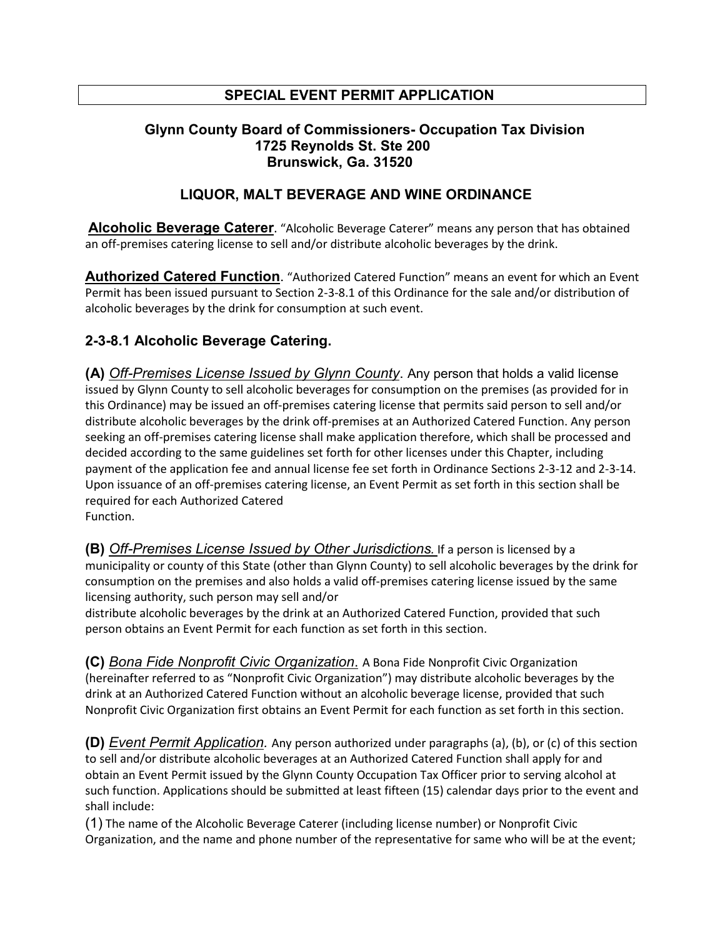# **SPECIAL EVENT PERMIT APPLICATION**

#### **Glynn County Board of Commissioners- Occupation Tax Division 1725 Reynolds St. Ste 200 Brunswick, Ga. 31520**

### **LIQUOR, MALT BEVERAGE AND WINE ORDINANCE**

**Alcoholic Beverage Caterer**. "Alcoholic Beverage Caterer" means any person that has obtained an off-premises catering license to sell and/or distribute alcoholic beverages by the drink.

**Authorized Catered Function**. "Authorized Catered Function" means an event for which an Event Permit has been issued pursuant to Section 2-3-8.1 of this Ordinance for the sale and/or distribution of alcoholic beverages by the drink for consumption at such event.

## **2-3-8.1 Alcoholic Beverage Catering.**

**(A)** *Off-Premises License Issued by Glynn County*. Any person that holds a valid license issued by Glynn County to sell alcoholic beverages for consumption on the premises (as provided for in this Ordinance) may be issued an off-premises catering license that permits said person to sell and/or distribute alcoholic beverages by the drink off-premises at an Authorized Catered Function. Any person seeking an off-premises catering license shall make application therefore, which shall be processed and decided according to the same guidelines set forth for other licenses under this Chapter, including payment of the application fee and annual license fee set forth in Ordinance Sections 2-3-12 and 2-3-14. Upon issuance of an off-premises catering license, an Event Permit as set forth in this section shall be required for each Authorized Catered Function.

**(B)** *Off-Premises License Issued by Other Jurisdictions.* If a person is licensed by a municipality or county of this State (other than Glynn County) to sell alcoholic beverages by the drink for consumption on the premises and also holds a valid off-premises catering license issued by the same licensing authority, such person may sell and/or

distribute alcoholic beverages by the drink at an Authorized Catered Function, provided that such person obtains an Event Permit for each function as set forth in this section.

**(C)** *Bona Fide Nonprofit Civic Organization*. A Bona Fide Nonprofit Civic Organization (hereinafter referred to as "Nonprofit Civic Organization") may distribute alcoholic beverages by the drink at an Authorized Catered Function without an alcoholic beverage license, provided that such Nonprofit Civic Organization first obtains an Event Permit for each function as set forth in this section.

**(D)** *Event Permit Application.* Any person authorized under paragraphs (a), (b), or (c) of this section to sell and/or distribute alcoholic beverages at an Authorized Catered Function shall apply for and obtain an Event Permit issued by the Glynn County Occupation Tax Officer prior to serving alcohol at such function. Applications should be submitted at least fifteen (15) calendar days prior to the event and shall include:

(1) The name of the Alcoholic Beverage Caterer (including license number) or Nonprofit Civic Organization, and the name and phone number of the representative for same who will be at the event;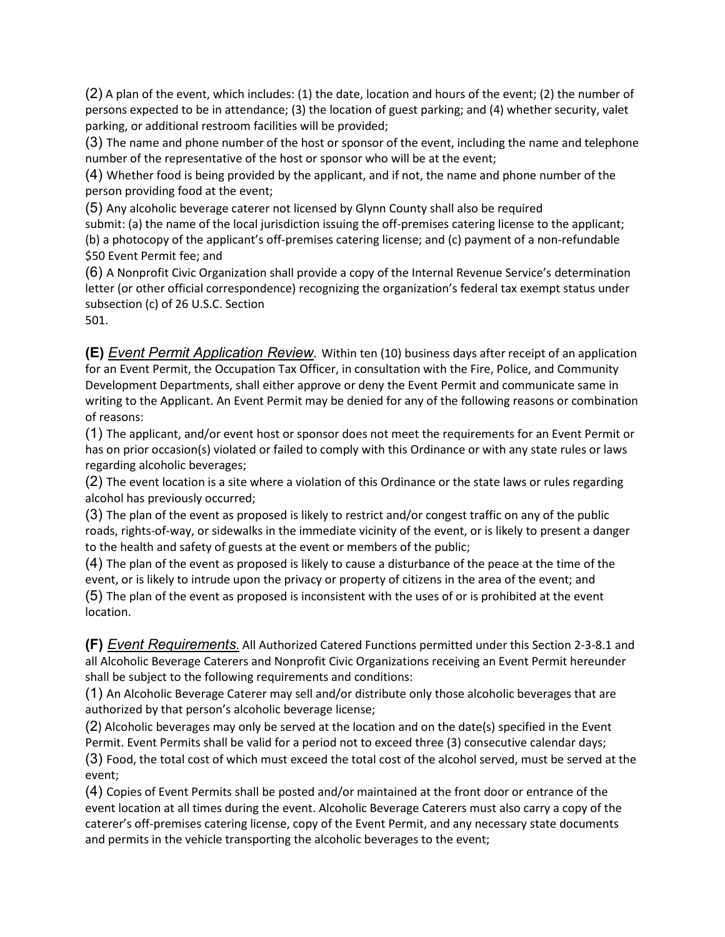(2) A plan of the event, which includes: (1) the date, location and hours of the event; (2) the number of persons expected to be in attendance; (3) the location of guest parking; and (4) whether security, valet parking, or additional restroom facilities will be provided;

(3) The name and phone number of the host or sponsor of the event, including the name and telephone number of the representative of the host or sponsor who will be at the event;

(4) Whether food is being provided by the applicant, and if not, the name and phone number of the person providing food at the event;

(5) Any alcoholic beverage caterer not licensed by Glynn County shall also be required submit: (a) the name of the local jurisdiction issuing the off-premises catering license to the applicant; (b) a photocopy of the applicant's off-premises catering license; and (c) payment of a non-refundable \$50 Event Permit fee; and

(6) A Nonprofit Civic Organization shall provide a copy of the Internal Revenue Service's determination letter (or other official correspondence) recognizing the organization's federal tax exempt status under subsection (c) of 26 U.S.C. Section

501.

**(E)** *Event Permit Application Review.* Within ten (10) business days after receipt of an application for an Event Permit, the Occupation Tax Officer, in consultation with the Fire, Police, and Community Development Departments, shall either approve or deny the Event Permit and communicate same in writing to the Applicant. An Event Permit may be denied for any of the following reasons or combination of reasons:

(1) The applicant, and/or event host or sponsor does not meet the requirements for an Event Permit or has on prior occasion(s) violated or failed to comply with this Ordinance or with any state rules or laws regarding alcoholic beverages;

(2) The event location is a site where a violation of this Ordinance or the state laws or rules regarding alcohol has previously occurred;

(3) The plan of the event as proposed is likely to restrict and/or congest traffic on any of the public roads, rights-of-way, or sidewalks in the immediate vicinity of the event, or is likely to present a danger to the health and safety of guests at the event or members of the public;

(4) The plan of the event as proposed is likely to cause a disturbance of the peace at the time of the event, or is likely to intrude upon the privacy or property of citizens in the area of the event; and (5) The plan of the event as proposed is inconsistent with the uses of or is prohibited at the event location.

**(F)** *Event Requirements*. All Authorized Catered Functions permitted under this Section 2-3-8.1 and all Alcoholic Beverage Caterers and Nonprofit Civic Organizations receiving an Event Permit hereunder shall be subject to the following requirements and conditions:

(1) An Alcoholic Beverage Caterer may sell and/or distribute only those alcoholic beverages that are authorized by that person's alcoholic beverage license;

(2) Alcoholic beverages may only be served at the location and on the date(s) specified in the Event Permit. Event Permits shall be valid for a period not to exceed three (3) consecutive calendar days;

(3) Food, the total cost of which must exceed the total cost of the alcohol served, must be served at the event;

(4) Copies of Event Permits shall be posted and/or maintained at the front door or entrance of the event location at all times during the event. Alcoholic Beverage Caterers must also carry a copy of the caterer's off-premises catering license, copy of the Event Permit, and any necessary state documents and permits in the vehicle transporting the alcoholic beverages to the event;